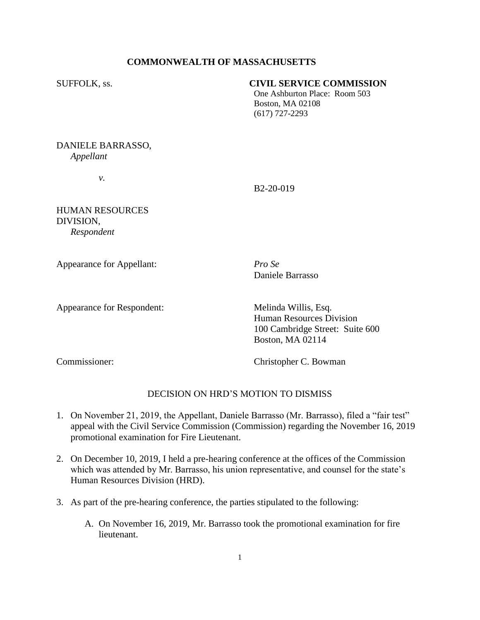# **COMMONWEALTH OF MASSACHUSETTS**

## SUFFOLK, ss. **CIVIL SERVICE COMMISSION**

One Ashburton Place: Room 503 Boston, MA 02108 (617) 727-2293

DANIELE BARRASSO, *Appellant*

*v.*

B2-20-019

HUMAN RESOURCES DIVISION, *Respondent* 

Appearance for Appellant: *Pro Se*

Daniele Barrasso

Appearance for Respondent: Melinda Willis, Esq.

Human Resources Division 100 Cambridge Street: Suite 600 Boston, MA 02114

Commissioner: Christopher C. Bowman

# DECISION ON HRD'S MOTION TO DISMISS

- 1. On November 21, 2019, the Appellant, Daniele Barrasso (Mr. Barrasso), filed a "fair test" appeal with the Civil Service Commission (Commission) regarding the November 16, 2019 promotional examination for Fire Lieutenant.
- 2. On December 10, 2019, I held a pre-hearing conference at the offices of the Commission which was attended by Mr. Barrasso, his union representative, and counsel for the state's Human Resources Division (HRD).
- 3. As part of the pre-hearing conference, the parties stipulated to the following:
	- A. On November 16, 2019, Mr. Barrasso took the promotional examination for fire lieutenant.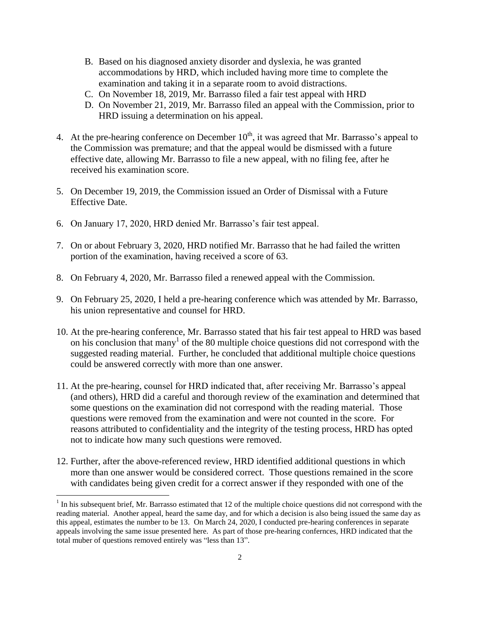- B. Based on his diagnosed anxiety disorder and dyslexia, he was granted accommodations by HRD, which included having more time to complete the examination and taking it in a separate room to avoid distractions.
- C. On November 18, 2019, Mr. Barrasso filed a fair test appeal with HRD
- D. On November 21, 2019, Mr. Barrasso filed an appeal with the Commission, prior to HRD issuing a determination on his appeal.
- 4. At the pre-hearing conference on December  $10<sup>th</sup>$ , it was agreed that Mr. Barrasso's appeal to the Commission was premature; and that the appeal would be dismissed with a future effective date, allowing Mr. Barrasso to file a new appeal, with no filing fee, after he received his examination score.
- 5. On December 19, 2019, the Commission issued an Order of Dismissal with a Future Effective Date.
- 6. On January 17, 2020, HRD denied Mr. Barrasso's fair test appeal.
- 7. On or about February 3, 2020, HRD notified Mr. Barrasso that he had failed the written portion of the examination, having received a score of 63.
- 8. On February 4, 2020, Mr. Barrasso filed a renewed appeal with the Commission.
- 9. On February 25, 2020, I held a pre-hearing conference which was attended by Mr. Barrasso, his union representative and counsel for HRD.
- 10. At the pre-hearing conference, Mr. Barrasso stated that his fair test appeal to HRD was based on his conclusion that many<sup>1</sup> of the 80 multiple choice questions did not correspond with the suggested reading material. Further, he concluded that additional multiple choice questions could be answered correctly with more than one answer.
- 11. At the pre-hearing, counsel for HRD indicated that, after receiving Mr. Barrasso's appeal (and others), HRD did a careful and thorough review of the examination and determined that some questions on the examination did not correspond with the reading material. Those questions were removed from the examination and were not counted in the score. For reasons attributed to confidentiality and the integrity of the testing process, HRD has opted not to indicate how many such questions were removed.
- 12. Further, after the above-referenced review, HRD identified additional questions in which more than one answer would be considered correct. Those questions remained in the score with candidates being given credit for a correct answer if they responded with one of the

 $\overline{a}$ 

 $<sup>1</sup>$  In his subsequent brief, Mr. Barrasso estimated that 12 of the multiple choice questions did not correspond with the</sup> reading material. Another appeal, heard the same day, and for which a decision is also being issued the same day as this appeal, estimates the number to be 13. On March 24, 2020, I conducted pre-hearing conferences in separate appeals involving the same issue presented here. As part of those pre-hearing confernces, HRD indicated that the total muber of questions removed entirely was "less than 13".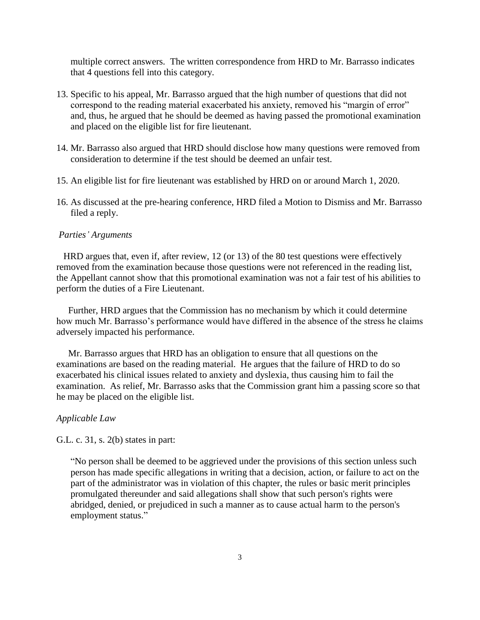multiple correct answers. The written correspondence from HRD to Mr. Barrasso indicates that 4 questions fell into this category.

- 13. Specific to his appeal, Mr. Barrasso argued that the high number of questions that did not correspond to the reading material exacerbated his anxiety, removed his "margin of error" and, thus, he argued that he should be deemed as having passed the promotional examination and placed on the eligible list for fire lieutenant.
- 14. Mr. Barrasso also argued that HRD should disclose how many questions were removed from consideration to determine if the test should be deemed an unfair test.
- 15. An eligible list for fire lieutenant was established by HRD on or around March 1, 2020.
- 16. As discussed at the pre-hearing conference, HRD filed a Motion to Dismiss and Mr. Barrasso filed a reply.

#### *Parties' Arguments*

 HRD argues that, even if, after review, 12 (or 13) of the 80 test questions were effectively removed from the examination because those questions were not referenced in the reading list, the Appellant cannot show that this promotional examination was not a fair test of his abilities to perform the duties of a Fire Lieutenant.

 Further, HRD argues that the Commission has no mechanism by which it could determine how much Mr. Barrasso's performance would have differed in the absence of the stress he claims adversely impacted his performance.

 Mr. Barrasso argues that HRD has an obligation to ensure that all questions on the examinations are based on the reading material. He argues that the failure of HRD to do so exacerbated his clinical issues related to anxiety and dyslexia, thus causing him to fail the examination. As relief, Mr. Barrasso asks that the Commission grant him a passing score so that he may be placed on the eligible list.

## *Applicable Law*

G.L. c. 31, s. 2(b) states in part:

"No person shall be deemed to be aggrieved under the provisions of this section unless such person has made specific allegations in writing that a decision, action, or failure to act on the part of the administrator was in violation of this chapter, the rules or basic merit principles promulgated thereunder and said allegations shall show that such person's rights were abridged, denied, or prejudiced in such a manner as to cause actual harm to the person's employment status."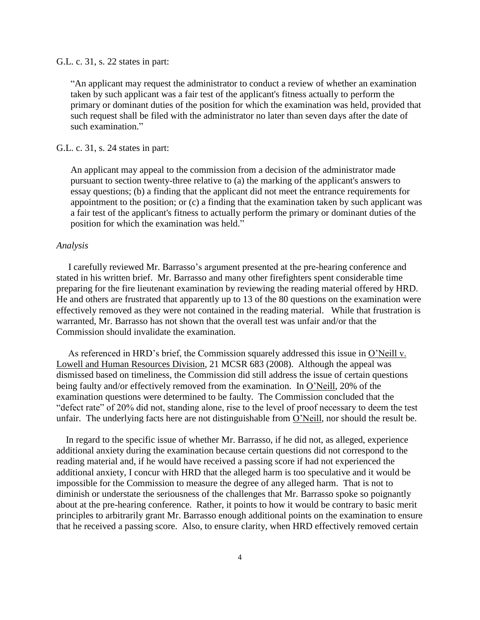#### G.L. c. 31, s. 22 states in part:

"An applicant may request the administrator to conduct a review of whether an examination taken by such applicant was a fair test of the applicant's fitness actually to perform the primary or dominant duties of the position for which the examination was held, provided that such request shall be filed with the administrator no later than seven days after the date of such examination."

## G.L. c. 31, s. 24 states in part:

An applicant may appeal to the commission from a decision of the administrator made pursuant to section twenty-three relative to (a) the marking of the applicant's answers to essay questions; (b) a finding that the applicant did not meet the entrance requirements for appointment to the position; or (c) a finding that the examination taken by such applicant was a fair test of the applicant's fitness to actually perform the primary or dominant duties of the position for which the examination was held."

## *Analysis*

 I carefully reviewed Mr. Barrasso's argument presented at the pre-hearing conference and stated in his written brief. Mr. Barrasso and many other firefighters spent considerable time preparing for the fire lieutenant examination by reviewing the reading material offered by HRD. He and others are frustrated that apparently up to 13 of the 80 questions on the examination were effectively removed as they were not contained in the reading material. While that frustration is warranted, Mr. Barrasso has not shown that the overall test was unfair and/or that the Commission should invalidate the examination.

 As referenced in HRD's brief, the Commission squarely addressed this issue in O'Neill v. Lowell and Human Resources Division, 21 MCSR 683 (2008). Although the appeal was dismissed based on timeliness, the Commission did still address the issue of certain questions being faulty and/or effectively removed from the examination. In O'Neill, 20% of the examination questions were determined to be faulty. The Commission concluded that the "defect rate" of 20% did not, standing alone, rise to the level of proof necessary to deem the test unfair. The underlying facts here are not distinguishable from O'Neill, nor should the result be.

 In regard to the specific issue of whether Mr. Barrasso, if he did not, as alleged, experience additional anxiety during the examination because certain questions did not correspond to the reading material and, if he would have received a passing score if had not experienced the additional anxiety, I concur with HRD that the alleged harm is too speculative and it would be impossible for the Commission to measure the degree of any alleged harm. That is not to diminish or understate the seriousness of the challenges that Mr. Barrasso spoke so poignantly about at the pre-hearing conference. Rather, it points to how it would be contrary to basic merit principles to arbitrarily grant Mr. Barrasso enough additional points on the examination to ensure that he received a passing score. Also, to ensure clarity, when HRD effectively removed certain